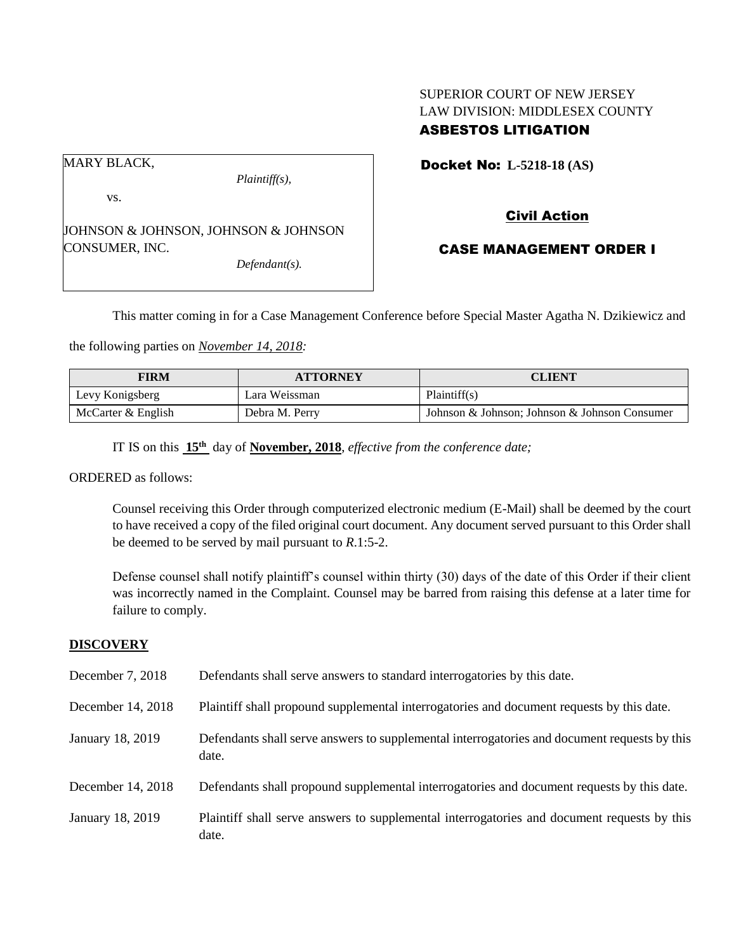## SUPERIOR COURT OF NEW JERSEY LAW DIVISION: MIDDLESEX COUNTY ASBESTOS LITIGATION

MARY BLACK,

vs.

*Plaintiff(s),*

JOHNSON & JOHNSON, JOHNSON & JOHNSON CONSUMER, INC.

*Defendant(s).*

Docket No: **L-5218-18 (AS)** 

# Civil Action

## CASE MANAGEMENT ORDER I

This matter coming in for a Case Management Conference before Special Master Agatha N. Dzikiewicz and

the following parties on *November 14, 2018:*

| <b>FIRM</b>        | <b>ATTORNEY</b> | <b>CLIENT</b>                                 |
|--------------------|-----------------|-----------------------------------------------|
| Levy Konigsberg    | Lara Weissman   | Plaintiff(s)                                  |
| McCarter & English | Debra M. Perry  | Johnson & Johnson; Johnson & Johnson Consumer |

IT IS on this **15th** day of **November, 2018**, *effective from the conference date;*

ORDERED as follows:

Counsel receiving this Order through computerized electronic medium (E-Mail) shall be deemed by the court to have received a copy of the filed original court document. Any document served pursuant to this Order shall be deemed to be served by mail pursuant to *R*.1:5-2.

Defense counsel shall notify plaintiff's counsel within thirty (30) days of the date of this Order if their client was incorrectly named in the Complaint. Counsel may be barred from raising this defense at a later time for failure to comply.

## **DISCOVERY**

| December 7, 2018  | Defendants shall serve answers to standard interrogatories by this date.                              |
|-------------------|-------------------------------------------------------------------------------------------------------|
| December 14, 2018 | Plaintiff shall propound supplemental interrogatories and document requests by this date.             |
| January 18, 2019  | Defendants shall serve answers to supplemental interrogatories and document requests by this<br>date. |
| December 14, 2018 | Defendants shall propound supplemental interrogatories and document requests by this date.            |
| January 18, 2019  | Plaintiff shall serve answers to supplemental interrogatories and document requests by this<br>date.  |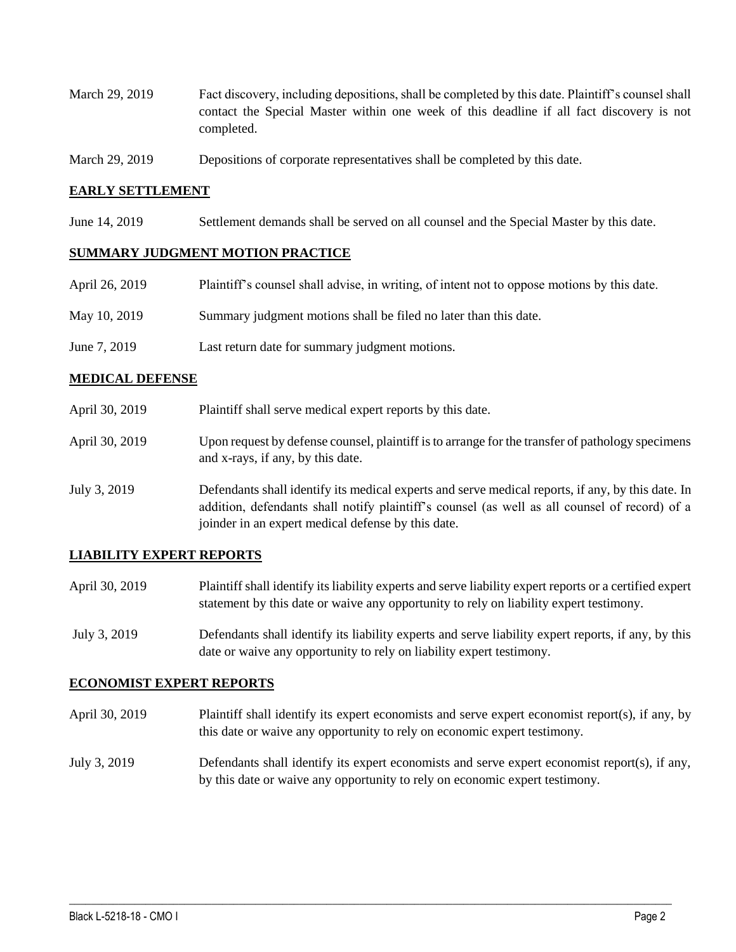- March 29, 2019 Fact discovery, including depositions, shall be completed by this date. Plaintiff's counsel shall contact the Special Master within one week of this deadline if all fact discovery is not completed.
- March 29, 2019 Depositions of corporate representatives shall be completed by this date.

### **EARLY SETTLEMENT**

June 14, 2019 Settlement demands shall be served on all counsel and the Special Master by this date.

#### **SUMMARY JUDGMENT MOTION PRACTICE**

| April 26, 2019 | Plaintiff's counsel shall advise, in writing, of intent not to oppose motions by this date. |
|----------------|---------------------------------------------------------------------------------------------|
| May 10, 2019   | Summary judgment motions shall be filed no later than this date.                            |
| June 7, 2019   | Last return date for summary judgment motions.                                              |

#### **MEDICAL DEFENSE**

- April 30, 2019 Plaintiff shall serve medical expert reports by this date.
- April 30, 2019 Upon request by defense counsel, plaintiff is to arrange for the transfer of pathology specimens and x-rays, if any, by this date.
- July 3, 2019 Defendants shall identify its medical experts and serve medical reports, if any, by this date. In addition, defendants shall notify plaintiff's counsel (as well as all counsel of record) of a joinder in an expert medical defense by this date.

### **LIABILITY EXPERT REPORTS**

- April 30, 2019 Plaintiff shall identify its liability experts and serve liability expert reports or a certified expert statement by this date or waive any opportunity to rely on liability expert testimony.
- July 3, 2019 Defendants shall identify its liability experts and serve liability expert reports, if any, by this date or waive any opportunity to rely on liability expert testimony.

### **ECONOMIST EXPERT REPORTS**

- April 30, 2019 Plaintiff shall identify its expert economists and serve expert economist report(s), if any, by this date or waive any opportunity to rely on economic expert testimony.
- July 3, 2019 Defendants shall identify its expert economists and serve expert economist report(s), if any, by this date or waive any opportunity to rely on economic expert testimony.

 $\_$  ,  $\_$  ,  $\_$  ,  $\_$  ,  $\_$  ,  $\_$  ,  $\_$  ,  $\_$  ,  $\_$  ,  $\_$  ,  $\_$  ,  $\_$  ,  $\_$  ,  $\_$  ,  $\_$  ,  $\_$  ,  $\_$  ,  $\_$  ,  $\_$  ,  $\_$  ,  $\_$  ,  $\_$  ,  $\_$  ,  $\_$  ,  $\_$  ,  $\_$  ,  $\_$  ,  $\_$  ,  $\_$  ,  $\_$  ,  $\_$  ,  $\_$  ,  $\_$  ,  $\_$  ,  $\_$  ,  $\_$  ,  $\_$  ,